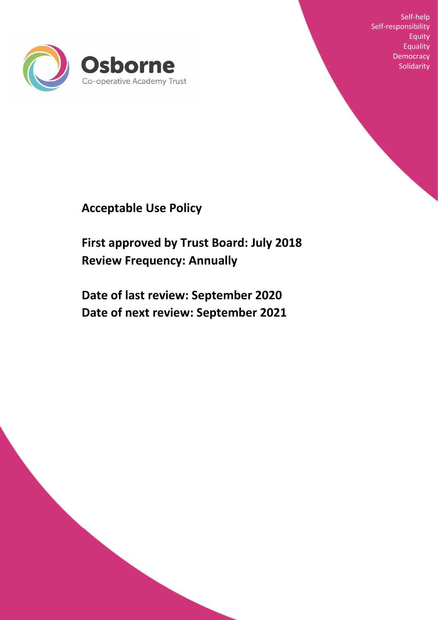

Self-help Self-responsibility Equity Equality **Democracy Solidarity** 

**Acceptable Use Policy** 

**First approved by Trust Board: July 2018 Review Frequency: Annually**

**Date of last review: September 2020 Date of next review: September 2021**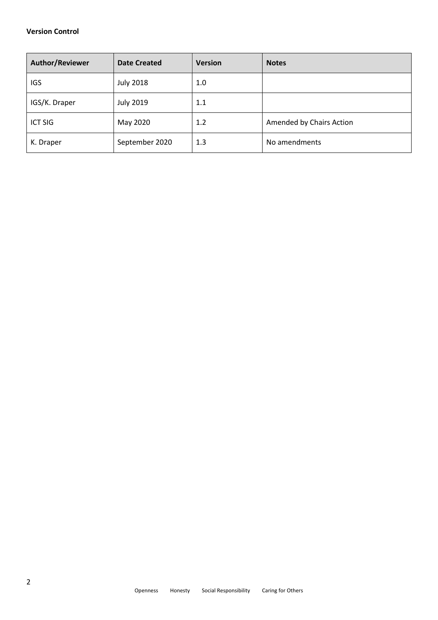## **Version Control**

| Author/Reviewer | <b>Date Created</b> | <b>Version</b> | <b>Notes</b>             |
|-----------------|---------------------|----------------|--------------------------|
| <b>IGS</b>      | <b>July 2018</b>    | 1.0            |                          |
| IGS/K. Draper   | <b>July 2019</b>    | 1.1            |                          |
| <b>ICT SIG</b>  | May 2020            | 1.2            | Amended by Chairs Action |
| K. Draper       | September 2020      | 1.3            | No amendments            |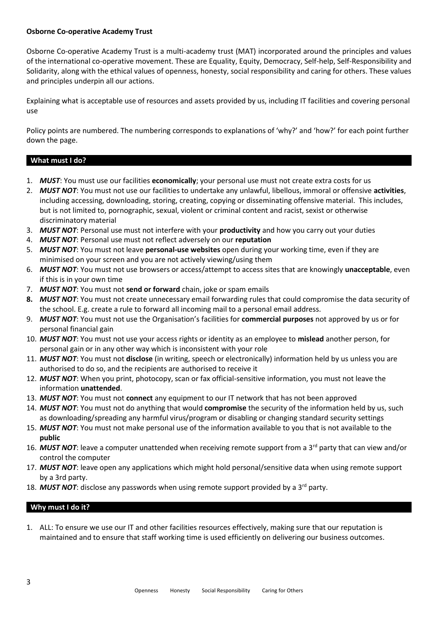## **Osborne Co-operative Academy Trust**

Osborne Co-operative Academy Trust is a multi-academy trust (MAT) incorporated around the principles and values of the international co-operative movement. These are Equality, Equity, Democracy, Self-help, Self-Responsibility and Solidarity, along with the ethical values of openness, honesty, social responsibility and caring for others. These values and principles underpin all our actions.

Explaining what is acceptable use of resources and assets provided by us, including IT facilities and covering personal use

Policy points are numbered. The numbering corresponds to explanations of 'why?' and 'how?' for each point further down the page.

# **What must I do?**

- 1. *MUST*: You must use our facilities **economically**; your personal use must not create extra costs for us
- 2. *MUST NOT*: You must not use our facilities to undertake any unlawful, libellous, immoral or offensive **activities**, including accessing, downloading, storing, creating, copying or disseminating offensive material. This includes, but is not limited to, pornographic, sexual, violent or criminal content and racist, sexist or otherwise discriminatory material
- 3. *MUST NOT*: Personal use must not interfere with your **productivity** and how you carry out your duties
- 4. *MUST NOT*: Personal use must not reflect adversely on our **reputation**
- 5. *MUST NOT*: You must not leave **personal-use websites** open during your working time, even if they are minimised on your screen and you are not actively viewing/using them
- 6. *MUST NOT*: You must not use browsers or access/attempt to access sites that are knowingly **unacceptable**, even if this is in your own time
- 7. *MUST NOT*: You must not **send or forward** chain, joke or spam emails
- **8.** *MUST NOT*: You must not create unnecessary email forwarding rules that could compromise the data security of the school. E.g. create a rule to forward all incoming mail to a personal email address.
- 9. *MUST NOT*: You must not use the Organisation's facilities for **commercial purposes** not approved by us or for personal financial gain
- 10. *MUST NOT*: You must not use your access rights or identity as an employee to **mislead** another person, for personal gain or in any other way which is inconsistent with your role
- 11. *MUST NOT*: You must not **disclose** (in writing, speech or electronically) information held by us unless you are authorised to do so, and the recipients are authorised to receive it
- 12. *MUST NOT*: When you print, photocopy, scan or fax official-sensitive information, you must not leave the information **unattended**.
- 13. *MUST NOT*: You must not **connect** any equipment to our IT network that has not been approved
- 14. *MUST NOT*: You must not do anything that would **compromise** the security of the information held by us, such as downloading/spreading any harmful virus/program or disabling or changing standard security settings
- 15. *MUST NOT*: You must not make personal use of the information available to you that is not available to the **public**
- 16. MUST NOT: leave a computer unattended when receiving remote support from a 3<sup>rd</sup> party that can view and/or control the computer
- 17. *MUST NOT*: leave open any applications which might hold personal/sensitive data when using remote support by a 3rd party.
- 18. *MUST NOT*: disclose any passwords when using remote support provided by a 3<sup>rd</sup> party.

# **Why must I do it?**

1. ALL: To ensure we use our IT and other facilities resources effectively, making sure that our reputation is maintained and to ensure that staff working time is used efficiently on delivering our business outcomes.